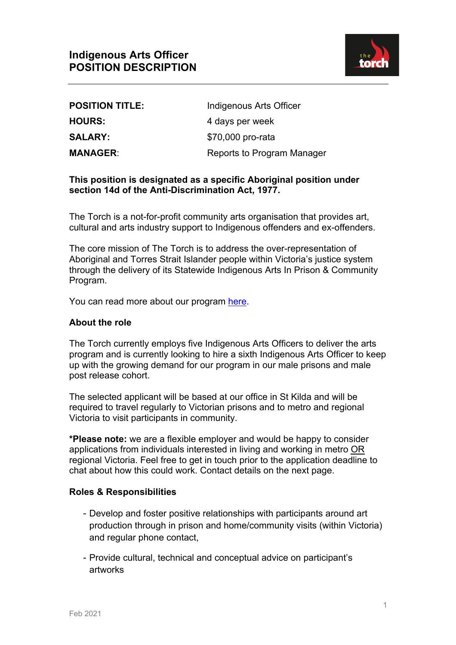

| <b>POSITION TITLE:</b> | Indigenous Arts Officer    |
|------------------------|----------------------------|
| <b>HOURS:</b>          | 4 days per week            |
| <b>SALARY:</b>         | \$70,000 pro-rata          |
| <b>MANAGER:</b>        | Reports to Program Manager |

# **This position is designated as a specific Aboriginal position under section 14d of the Anti-Discrimination Act, 1977.**

The Torch is a not-for-profit community arts organisation that provides art, cultural and arts industry support to Indigenous offenders and ex-offenders.

The core mission of The Torch is to address the over-representation of Aboriginal and Torres Strait Islander people within Victoria's justice system through the delivery of its Statewide Indigenous Arts In Prison & Community Program.

You can read more about our program here.

## **About the role**

The Torch currently employs five Indigenous Arts Officers to deliver the arts program and is currently looking to hire a sixth Indigenous Arts Officer to keep up with the growing demand for our program in our male prisons and male post release cohort.

The selected applicant will be based at our office in St Kilda and will be required to travel regularly to Victorian prisons and to metro and regional Victoria to visit participants in community.

**\*Please note:** we are a flexible employer and would be happy to consider applications from individuals interested in living and working in metro OR regional Victoria. Feel free to get in touch prior to the application deadline to chat about how this could work. Contact details on the next page.

### **Roles & Responsibilities**

- Develop and foster positive relationships with participants around art production through in prison and home/community visits (within Victoria) and regular phone contact,
- Provide cultural, technical and conceptual advice on participant's artworks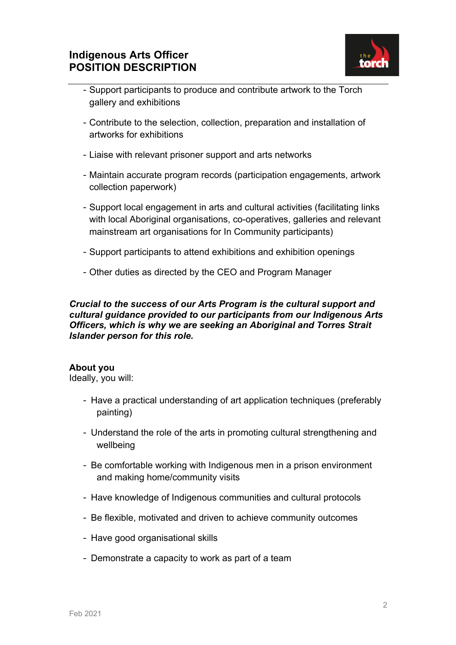

- Support participants to produce and contribute artwork to the Torch gallery and exhibitions
- Contribute to the selection, collection, preparation and installation of artworks for exhibitions
- Liaise with relevant prisoner support and arts networks
- Maintain accurate program records (participation engagements, artwork collection paperwork)
- Support local engagement in arts and cultural activities (facilitating links with local Aboriginal organisations, co-operatives, galleries and relevant mainstream art organisations for In Community participants)
- Support participants to attend exhibitions and exhibition openings
- Other duties as directed by the CEO and Program Manager

*Crucial to the success of our Arts Program is the cultural support and cultural guidance provided to our participants from our Indigenous Arts Officers, which is why we are seeking an Aboriginal and Torres Strait Islander person for this role.*

### **About you**

Ideally, you will:

- Have a practical understanding of art application techniques (preferably painting)
- Understand the role of the arts in promoting cultural strengthening and wellbeing
- Be comfortable working with Indigenous men in a prison environment and making home/community visits
- Have knowledge of Indigenous communities and cultural protocols
- Be flexible, motivated and driven to achieve community outcomes
- Have good organisational skills
- Demonstrate a capacity to work as part of a team